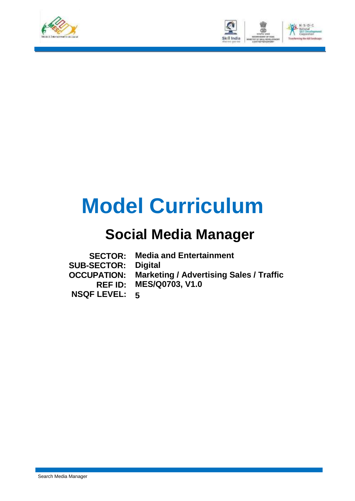



# **Model Curriculum**

# **Social Media Manager**

|                            | <b>SECTOR: Media and Entertainment</b>                     |
|----------------------------|------------------------------------------------------------|
| <b>SUB-SECTOR: Digital</b> |                                                            |
|                            | <b>OCCUPATION:</b> Marketing / Advertising Sales / Traffic |
|                            | <b>REF ID: MES/Q0703, V1.0</b>                             |
| <b>NSQF LEVEL: 5</b>       |                                                            |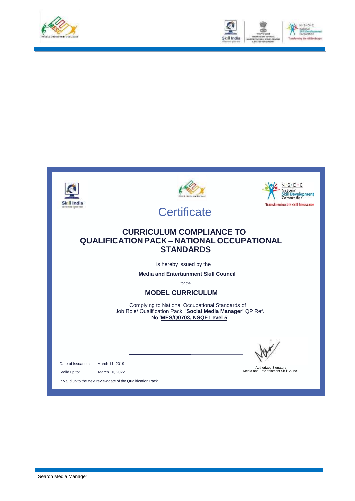



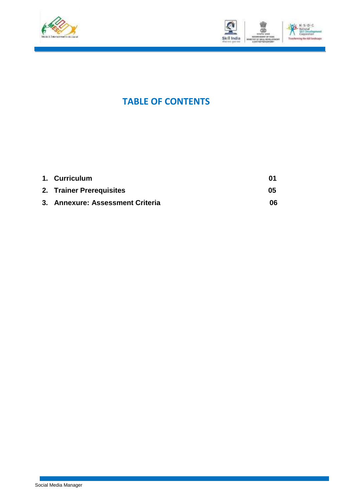



### **TABLE OF CONTENTS**

| 1. Curriculum                    | በ1 |
|----------------------------------|----|
| 2. Trainer Prerequisites         | 05 |
| 3. Annexure: Assessment Criteria | 06 |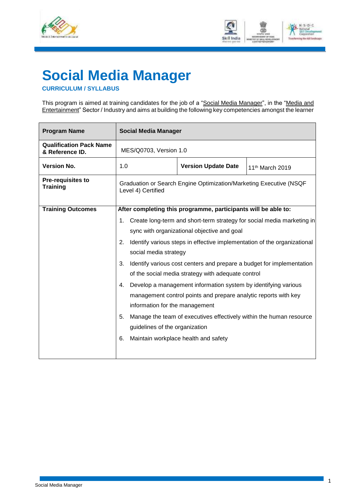



## <span id="page-3-0"></span>**Social Media Manager**

#### **CURRICULUM / SYLLABUS**

This program is aimed at training candidates for the job of a "<u>Social Media Manager</u>", in the "<u>Media and</u> Entertainment" Sector / Industry and aims at building the following key competencies amongst the learner

| <b>Program Name</b>                               | <b>Social Media Manager</b>                                                              |                                                                  |                                                                       |  |  |  |  |
|---------------------------------------------------|------------------------------------------------------------------------------------------|------------------------------------------------------------------|-----------------------------------------------------------------------|--|--|--|--|
| <b>Qualification Pack Name</b><br>& Reference ID. |                                                                                          | MES/Q0703, Version 1.0                                           |                                                                       |  |  |  |  |
| <b>Version No.</b>                                |                                                                                          | 1.0<br><b>Version Update Date</b><br>11 <sup>th</sup> March 2019 |                                                                       |  |  |  |  |
| <b>Pre-requisites to</b><br><b>Training</b>       | Graduation or Search Engine Optimization/Marketing Executive (NSQF<br>Level 4) Certified |                                                                  |                                                                       |  |  |  |  |
| <b>Training Outcomes</b>                          | After completing this programme, participants will be able to:                           |                                                                  |                                                                       |  |  |  |  |
|                                                   | Create long-term and short-term strategy for social media marketing in<br>1.             |                                                                  |                                                                       |  |  |  |  |
|                                                   | sync with organizational objective and goal                                              |                                                                  |                                                                       |  |  |  |  |
|                                                   | Identify various steps in effective implementation of the organizational<br>2.           |                                                                  |                                                                       |  |  |  |  |
|                                                   |                                                                                          | social media strategy                                            |                                                                       |  |  |  |  |
|                                                   | 3.                                                                                       |                                                                  | Identify various cost centers and prepare a budget for implementation |  |  |  |  |
|                                                   |                                                                                          |                                                                  | of the social media strategy with adequate control                    |  |  |  |  |
|                                                   | 4.                                                                                       |                                                                  | Develop a management information system by identifying various        |  |  |  |  |
|                                                   |                                                                                          |                                                                  | management control points and prepare analytic reports with key       |  |  |  |  |
|                                                   |                                                                                          | information for the management                                   |                                                                       |  |  |  |  |
|                                                   | 5.<br>Manage the team of executives effectively within the human resource                |                                                                  |                                                                       |  |  |  |  |
|                                                   | guidelines of the organization                                                           |                                                                  |                                                                       |  |  |  |  |
|                                                   | 6.                                                                                       | Maintain workplace health and safety                             |                                                                       |  |  |  |  |
|                                                   |                                                                                          |                                                                  |                                                                       |  |  |  |  |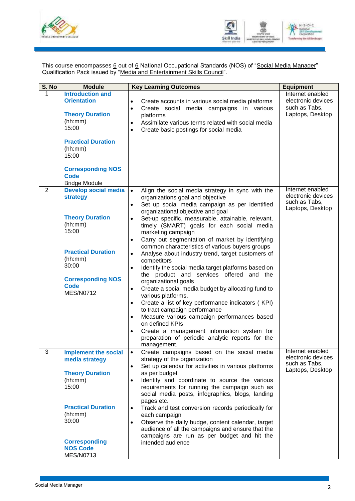



This course encompasses <u>6</u> out of <u>6</u> National Occupational Standards (NOS) of "<u>Social Media Manager</u>" Qualification Pack issued by "Media and Entertainment Skills Council".

| S. No | <b>Module</b>                                                                                                                                                                                               | <b>Key Learning Outcomes</b>                                                                                                                                                                                                                                                                                                                                                                                                                                                                                                                                                                                                                                                                                                                                                                                                                                                                                                                                                                                                                                          | <b>Equipment</b>                                                            |
|-------|-------------------------------------------------------------------------------------------------------------------------------------------------------------------------------------------------------------|-----------------------------------------------------------------------------------------------------------------------------------------------------------------------------------------------------------------------------------------------------------------------------------------------------------------------------------------------------------------------------------------------------------------------------------------------------------------------------------------------------------------------------------------------------------------------------------------------------------------------------------------------------------------------------------------------------------------------------------------------------------------------------------------------------------------------------------------------------------------------------------------------------------------------------------------------------------------------------------------------------------------------------------------------------------------------|-----------------------------------------------------------------------------|
| 1     | <b>Introduction and</b><br><b>Orientation</b><br><b>Theory Duration</b><br>(hh:mm)<br>15:00<br><b>Practical Duration</b><br>(hh:mm)<br>15:00<br><b>Corresponding NOS</b><br>Code<br><b>Bridge Module</b>    | Create accounts in various social media platforms<br>$\bullet$<br>Create social media campaigns in various<br>$\bullet$<br>platforms<br>Assimilate various terms related with social media<br>$\bullet$<br>Create basic postings for social media<br>$\bullet$                                                                                                                                                                                                                                                                                                                                                                                                                                                                                                                                                                                                                                                                                                                                                                                                        | Internet enabled<br>electronic devices<br>such as Tabs,<br>Laptops, Desktop |
| 2     | <b>Develop social media</b><br>strategy<br><b>Theory Duration</b><br>(hh:mm)<br>15:00<br><b>Practical Duration</b><br>(hh:mm)<br>30:00<br><b>Corresponding NOS</b><br><b>Code</b><br><b>MES/N0712</b>       | Align the social media strategy in sync with the<br>$\bullet$<br>organizations goal and objective<br>Set up social media campaign as per identified<br>$\bullet$<br>organizational objective and goal<br>Set-up specific, measurable, attainable, relevant,<br>$\bullet$<br>timely (SMART) goals for each social media<br>marketing campaign<br>Carry out segmentation of market by identifying<br>$\bullet$<br>common characteristics of various buyers groups<br>Analyse about industry trend, target customers of<br>$\bullet$<br>competitors<br>Identify the social media target platforms based on<br>the product and services offered and the<br>organizational goals<br>Create a social media budget by allocating fund to<br>$\bullet$<br>various platforms.<br>Create a list of key performance indicators (KPI)<br>$\bullet$<br>to tract campaign performance<br>Measure various campaign performances based<br>$\bullet$<br>on defined KPIs<br>Create a management information system for<br>$\bullet$<br>preparation of periodic analytic reports for the | Internet enabled<br>electronic devices<br>such as Tabs,<br>Laptops, Desktop |
| 3     | <b>Implement the social</b><br>media strategy<br><b>Theory Duration</b><br>(hh:mm)<br>15:00<br><b>Practical Duration</b><br>(hh:mm)<br>30:00<br><b>Corresponding</b><br><b>NOS Code</b><br><b>MES/N0713</b> | management.<br>Create campaigns based on the social media<br>$\bullet$<br>strategy of the organization<br>Set up calendar for activities in various platforms<br>$\bullet$<br>as per budget<br>Identify and coordinate to source the various<br>$\bullet$<br>requirements for running the campaign such as<br>social media posts, infographics, blogs, landing<br>pages etc.<br>Track and test conversion records periodically for<br>$\bullet$<br>each campaign<br>Observe the daily budge, content calendar, target<br>$\bullet$<br>audience of all the campaigns and ensure that the<br>campaigns are run as per budget and hit the<br>intended audience                                                                                                                                                                                                                                                                                                                                                                                                           | Internet enabled<br>electronic devices<br>such as Tabs,<br>Laptops, Desktop |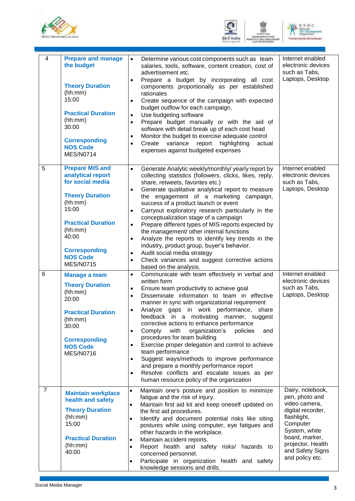





| $\overline{4}$ | <b>Prepare and manage</b><br>the budget<br><b>Theory Duration</b><br>(hh:mm)<br>15:00<br><b>Practical Duration</b><br>(hh:mm)<br>30:00<br><b>Corresponding</b><br><b>NOS Code</b><br><b>MES/N0714</b>                         | Determine various cost components such as team<br>$\bullet$<br>salaries, tools, software, content creation, cost of<br>advertisement etc.<br>Prepare a budget by incorporating all cost<br>$\bullet$<br>components proportionally as per established<br>rationales<br>Create sequence of the campaign with expected<br>$\bullet$<br>budget outflow for each campaign,<br>Use budgeting software<br>$\bullet$<br>Prepare budget manually or with the aid of<br>$\bullet$<br>software with detail break up of each cost head<br>Monitor the budget to exercise adequate control<br>$\bullet$<br>highlighting<br>Create<br>variance report<br>actual<br>$\bullet$<br>expenses against budgeted expenses                                                                                                              | Internet enabled<br>electronic devices<br>such as Tabs,<br>Laptops, Desktop                                                                                                                        |
|----------------|-------------------------------------------------------------------------------------------------------------------------------------------------------------------------------------------------------------------------------|-------------------------------------------------------------------------------------------------------------------------------------------------------------------------------------------------------------------------------------------------------------------------------------------------------------------------------------------------------------------------------------------------------------------------------------------------------------------------------------------------------------------------------------------------------------------------------------------------------------------------------------------------------------------------------------------------------------------------------------------------------------------------------------------------------------------|----------------------------------------------------------------------------------------------------------------------------------------------------------------------------------------------------|
| 5              | <b>Prepare MIS and</b><br>analytical report<br>for social media<br><b>Theory Duration</b><br>(hh:mm)<br>15:00<br><b>Practical Duration</b><br>(hh:mm)<br>40:00<br><b>Corresponding</b><br><b>NOS Code</b><br><b>MES/N0715</b> | Generate Analytic weekly/monthly/ yearly report by<br>$\bullet$<br>collecting statistics (followers, clicks, likes, reply,<br>share, retweets, favorites etc.)<br>Generate qualitative analytical report to measure<br>$\bullet$<br>the engagement of a marketing campaign,<br>success of a product launch or event<br>Carryout exploratory research particularly in the<br>$\bullet$<br>conceptualization stage of a campaign<br>Prepare different types of MIS reports expected by<br>$\bullet$<br>the management/ other internal functions<br>Analyze the reports to identify key trends in the<br>$\bullet$<br>industry, product group, buyer's behavior.<br>Audit social media strategy<br>$\bullet$<br>Check variances and suggest corrective actions<br>$\bullet$<br>based on the analysis.                | Internet enabled<br>electronic devices<br>such as Tabs,<br>Laptops, Desktop                                                                                                                        |
| 6              | <b>Manage a team</b><br><b>Theory Duration</b><br>(hh:mm)<br>20:00<br><b>Practical Duration</b><br>(hh:mm)<br>30:00<br><b>Corresponding</b><br><b>NOS Code</b><br><b>MES/N0716</b>                                            | Communicate with team effectively in verbal and<br>$\bullet$<br>written form<br>Ensure team productivity to achieve goal<br>$\bullet$<br>Disseminate information to team in effective<br>$\bullet$<br>manner in sync with organizational requirement<br>Analyze gaps in work performance, share<br>$\bullet$<br>feedback in a motivating manner, suggest<br>corrective actions to enhance performance<br>Comply<br>with<br>organization's<br>policies<br>and<br>$\bullet$<br>procedures for team building<br>Exercise proper delegation and control to achieve<br>$\bullet$<br>team performance<br>Suggest ways/methods to improve performance<br>$\bullet$<br>and prepare a monthly performance report<br>Resolve conflicts and escalate issues as per<br>$\bullet$<br>human resource policy of the organization | Internet enabled<br>electronic devices<br>such as Tabs,<br>Laptops, Desktop                                                                                                                        |
| $\overline{7}$ | <b>Maintain workplace</b><br>health and safety<br><b>Theory Duration</b><br>(hh:mm)<br>15:00<br><b>Practical Duration</b><br>(hh:mm)<br>40:00                                                                                 | Maintain one's posture and position to minimize<br>$\bullet$<br>fatigue and the risk of injury.<br>Maintain first aid kit and keep oneself updated on<br>$\bullet$<br>the first aid procedures.<br>Identify and document potential risks like siting<br>$\bullet$<br>postures while using computer, eye fatigues and<br>other hazards in the workplace.<br>Maintain accident reports.<br>$\bullet$<br>Report health and safety risks/ hazards to<br>$\bullet$<br>concerned personnel.<br>Participate in organization health and safety<br>$\bullet$<br>knowledge sessions and drills.                                                                                                                                                                                                                             | Dairy, notebook,<br>pen, photo and<br>video camera,<br>digital recorder,<br>flashlight,<br>Computer<br>System, white<br>board, marker,<br>projector, Health<br>and Safety Signs<br>and policy etc. |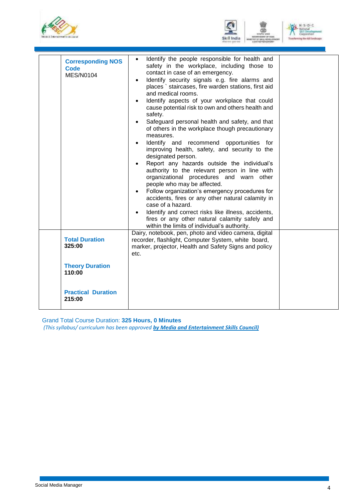





| <b>Corresponding NOS</b><br><b>Code</b><br><b>MES/N0104</b> | Identify the people responsible for health and<br>$\bullet$<br>safety in the workplace, including those to<br>contact in case of an emergency.<br>Identify security signals e.g. fire alarms and<br>$\bullet$<br>places ` staircases, fire warden stations, first aid<br>and medical rooms.<br>Identify aspects of your workplace that could<br>$\bullet$<br>cause potential risk to own and others health and<br>safety.<br>Safeguard personal health and safety, and that<br>$\bullet$<br>of others in the workplace though precautionary<br>measures.<br>Identify and recommend opportunities for<br>$\bullet$<br>improving health, safety, and security to the<br>designated person.<br>Report any hazards outside the individual's<br>$\bullet$<br>authority to the relevant person in line with<br>organizational procedures and warn other<br>people who may be affected.<br>Follow organization's emergency procedures for<br>$\bullet$<br>accidents, fires or any other natural calamity in<br>case of a hazard.<br>Identify and correct risks like illness, accidents,<br>fires or any other natural calamity safely and<br>within the limits of individual's authority. |  |
|-------------------------------------------------------------|------------------------------------------------------------------------------------------------------------------------------------------------------------------------------------------------------------------------------------------------------------------------------------------------------------------------------------------------------------------------------------------------------------------------------------------------------------------------------------------------------------------------------------------------------------------------------------------------------------------------------------------------------------------------------------------------------------------------------------------------------------------------------------------------------------------------------------------------------------------------------------------------------------------------------------------------------------------------------------------------------------------------------------------------------------------------------------------------------------------------------------------------------------------------------------|--|
| <b>Total Duration</b><br>325:00                             | Dairy, notebook, pen, photo and video camera, digital<br>recorder, flashlight, Computer System, white board,<br>marker, projector, Health and Safety Signs and policy<br>etc.                                                                                                                                                                                                                                                                                                                                                                                                                                                                                                                                                                                                                                                                                                                                                                                                                                                                                                                                                                                                      |  |
| <b>Theory Duration</b><br>110:00                            |                                                                                                                                                                                                                                                                                                                                                                                                                                                                                                                                                                                                                                                                                                                                                                                                                                                                                                                                                                                                                                                                                                                                                                                    |  |
| <b>Practical Duration</b><br>215:00                         |                                                                                                                                                                                                                                                                                                                                                                                                                                                                                                                                                                                                                                                                                                                                                                                                                                                                                                                                                                                                                                                                                                                                                                                    |  |
|                                                             |                                                                                                                                                                                                                                                                                                                                                                                                                                                                                                                                                                                                                                                                                                                                                                                                                                                                                                                                                                                                                                                                                                                                                                                    |  |

Grand Total Course Duration: **325 Hours, 0 Minutes**

*(This syllabus/ curriculum has been approved by Media and Entertainment Skills Council)*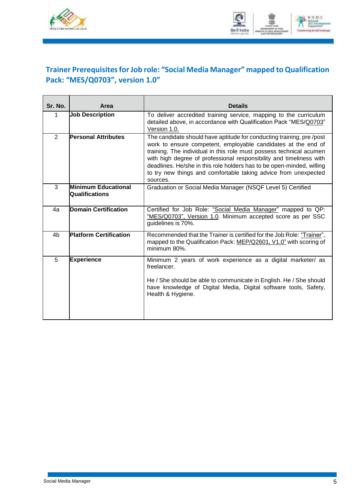



### <span id="page-7-0"></span>**Trainer Prerequisitesfor Job role: "Social Media Manager" mapped to Qualification Pack: "MES/Q0703", version 1.0"**

| Sr. No.        | Area                                                | <b>Details</b>                                                                                                                                                                                                                                                                                                                                                                                                                              |
|----------------|-----------------------------------------------------|---------------------------------------------------------------------------------------------------------------------------------------------------------------------------------------------------------------------------------------------------------------------------------------------------------------------------------------------------------------------------------------------------------------------------------------------|
| 1              | <b>Job Description</b>                              | To deliver accredited training service, mapping to the curriculum<br>detailed above, in accordance with Qualification Pack "MES/Q0703"<br>Version 1.0.                                                                                                                                                                                                                                                                                      |
| 2              | <b>Personal Attributes</b>                          | The candidate should have aptitude for conducting training, pre/post<br>work to ensure competent, employable candidates at the end of<br>training. The individual in this role must possess technical acumen<br>with high degree of professional responsibility and timeliness with<br>deadlines. He/she in this role holders has to be open-minded, willing<br>to try new things and comfortable taking advice from unexpected<br>sources. |
| 3              | <b>Minimum Educational</b><br><b>Qualifications</b> | Graduation or Social Media Manager (NSQF Level 5) Certified                                                                                                                                                                                                                                                                                                                                                                                 |
| 4a             | <b>Domain Certification</b>                         | Certified for Job Role: "Social Media Manager" mapped to QP:<br>"MES/Q0703", Version 1.0. Minimum accepted score as per SSC<br>guidelines is 70%.                                                                                                                                                                                                                                                                                           |
| 4 <sub>b</sub> | <b>Platform Certification</b>                       | Recommended that the Trainer is certified for the Job Role: "Trainer",<br>mapped to the Qualification Pack: MEP/Q2601, V1.0" with scoring of<br>minimum 80%.                                                                                                                                                                                                                                                                                |
| 5              | <b>Experience</b>                                   | Minimum 2 years of work experience as a digital marketer/ as<br>freelancer.<br>He / She should be able to communicate in English. He / She should<br>have knowledge of Digital Media, Digital software tools, Safety,<br>Health & Hygiene.                                                                                                                                                                                                  |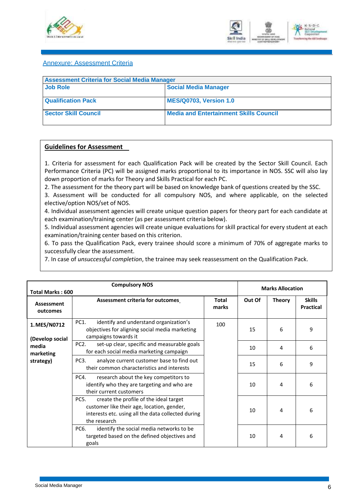



#### <span id="page-8-0"></span>Annexure: Assessment Criteria

| <b>Assessment Criteria for Social Media Manager</b> |                                               |  |  |  |
|-----------------------------------------------------|-----------------------------------------------|--|--|--|
| <b>Job Role</b>                                     | <b>Social Media Manager</b>                   |  |  |  |
| <b>Qualification Pack</b>                           | MES/Q0703, Version 1.0                        |  |  |  |
| <b>Sector Skill Council</b>                         | <b>Media and Entertainment Skills Council</b> |  |  |  |

#### **Guidelines for Assessment**

1. Criteria for assessment for each Qualification Pack will be created by the Sector Skill Council. Each Performance Criteria (PC) will be assigned marks proportional to its importance in NOS. SSC will also lay down proportion of marks for Theory and Skills Practical for each PC.

2. The assessment for the theory part will be based on knowledge bank of questions created by the SSC.

3. Assessment will be conducted for all compulsory NOS, and where applicable, on the selected elective/option NOS/set of NOS.

4. Individual assessment agencies will create unique question papers for theory part for each candidate at each examination/training center (as per assessment criteria below).

5. Individual assessment agencies will create unique evaluations for skill practical for every student at each examination/training center based on this criterion.

6. To pass the Qualification Pack, every trainee should score a minimum of 70% of aggregate marks to successfully clear the assessment.

7. In case of *unsuccessful completion*, the trainee may seek reassessment on the Qualification Pack.

|                                 | <b>Compulsory NOS</b><br><b>Marks Allocation</b><br><b>Total Marks: 600</b>                                                                                        |                |        |               |                                   |  |  |
|---------------------------------|--------------------------------------------------------------------------------------------------------------------------------------------------------------------|----------------|--------|---------------|-----------------------------------|--|--|
| Assessment<br>outcomes          | <b>Assessment criteria for outcomes</b>                                                                                                                            | Total<br>marks | Out Of | <b>Theory</b> | <b>Skills</b><br><b>Practical</b> |  |  |
| 1. MES/N0712<br>(Develop social | PC1.<br>identify and understand organization's<br>objectives for aligning social media marketing<br>campaigns towards it                                           | 100            | 15     | 6             | 9                                 |  |  |
| media<br>marketing              | PC <sub>2</sub> .<br>set-up clear, specific and measurable goals<br>for each social media marketing campaign                                                       |                | 10     | 4             | 6                                 |  |  |
| strategy)                       | PC <sub>3</sub> .<br>analyze current customer base to find out<br>their common characteristics and interests                                                       |                | 15     | 6             | 9                                 |  |  |
|                                 | PC4.<br>research about the key competitors to<br>identify who they are targeting and who are<br>their current customers                                            |                | 10     | 4             | 6                                 |  |  |
|                                 | PC5.<br>create the profile of the ideal target<br>customer like their age, location, gender,<br>interests etc. using all the data collected during<br>the research |                | 10     | 4             | 6                                 |  |  |
|                                 | PC6.<br>identify the social media networks to be<br>targeted based on the defined objectives and<br>goals                                                          |                | 10     | 4             | 6                                 |  |  |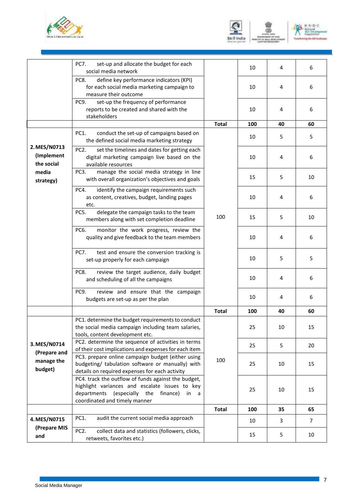





|                                          | <b>PC7.</b><br>set-up and allocate the budget for each<br>social media network                                                                                                            |              | 10  | 4  | 6  |
|------------------------------------------|-------------------------------------------------------------------------------------------------------------------------------------------------------------------------------------------|--------------|-----|----|----|
|                                          | define key performance indicators (KPI)<br>PC8.<br>for each social media marketing campaign to<br>measure their outcome                                                                   |              | 10  | 4  | 6  |
|                                          | set-up the frequency of performance<br>PC9.<br>reports to be created and shared with the<br>stakeholders                                                                                  |              | 10  | 4  | 6  |
|                                          |                                                                                                                                                                                           | <b>Total</b> | 100 | 40 | 60 |
|                                          | conduct the set-up of campaigns based on<br>PC1.<br>the defined social media marketing strategy                                                                                           |              | 10  | 5  | 5  |
| 2. MES/N0713<br>(Implement<br>the social | PC <sub>2</sub> .<br>set the timelines and dates for getting each<br>digital marketing campaign live based on the<br>available resources                                                  |              | 10  | 4  | 6  |
| media<br>strategy)                       | manage the social media strategy in line<br>PC3.<br>with overall organization's objectives and goals                                                                                      |              | 15  | 5  | 10 |
|                                          | PC4.<br>identify the campaign requirements such<br>as content, creatives, budget, landing pages<br>etc.                                                                                   | 100          | 10  | 4  | 6  |
|                                          | PC5.<br>delegate the campaign tasks to the team<br>members along with set completion deadline                                                                                             |              | 15  | 5  | 10 |
|                                          | PC6.<br>monitor the work progress, review the<br>quality and give feedback to the team members                                                                                            |              | 10  | 4  | 6  |
|                                          | test and ensure the conversion tracking is<br>PC7.<br>set-up properly for each campaign                                                                                                   |              | 10  | 5  | 5  |
|                                          | review the target audience, daily budget<br>PC8.<br>and scheduling of all the campaigns                                                                                                   |              | 10  | 4  | 6  |
|                                          | review and ensure that the campaign<br>PC9.<br>budgets are set-up as per the plan                                                                                                         |              | 10  | 4  | 6  |
|                                          |                                                                                                                                                                                           | <b>Total</b> | 100 | 40 | 60 |
|                                          | PC1. determine the budget requirements to conduct<br>the social media campaign including team salaries,<br>tools, content development etc.                                                |              | 25  | 10 | 15 |
| 3. MES/N0714<br>(Prepare and             | PC2. determine the sequence of activities in terms<br>of their cost implications and expenses for each item                                                                               |              | 25  | 5  | 20 |
| manage the<br>budget)                    | PC3. prepare online campaign budget (either using<br>budgeting/ tabulation software or manually) with<br>details on required expenses for each activity                                   | 100          | 25  | 10 | 15 |
|                                          | PC4. track the outflow of funds against the budget,<br>highlight variances and escalate issues to key<br>departments (especially the<br>finance)<br>in a<br>coordinated and timely manner |              | 25  | 10 | 15 |
|                                          |                                                                                                                                                                                           | <b>Total</b> | 100 | 35 | 65 |
| 4. MES/N0715                             | PC1.<br>audit the current social media approach                                                                                                                                           |              | 10  | 3  | 7  |
| (Prepare MIS<br>and                      | PC <sub>2</sub> .<br>collect data and statistics (followers, clicks,<br>retweets, favorites etc.)                                                                                         |              | 15  | 5  | 10 |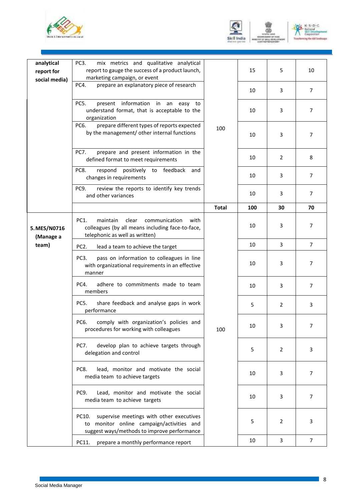





| analytical<br>report for<br>social media) | mix metrics and qualitative analytical<br>PC <sub>3</sub> .<br>report to gauge the success of a product launch,<br>marketing campaign, or event |              | 15  | 5              | 10             |
|-------------------------------------------|-------------------------------------------------------------------------------------------------------------------------------------------------|--------------|-----|----------------|----------------|
|                                           | prepare an explanatory piece of research<br>PC4.                                                                                                |              | 10  | 3              | $\overline{7}$ |
|                                           | present information in an easy to<br>PC5.<br>understand format, that is acceptable to the<br>organization                                       |              | 10  | 3              | 7              |
|                                           | prepare different types of reports expected<br>PC6.<br>by the management/ other internal functions                                              | 100          | 10  | 3              | 7              |
|                                           | prepare and present information in the<br>PC7.<br>defined format to meet requirements                                                           |              | 10  | 2              | 8              |
|                                           | positively to feedback<br>PC8.<br>respond<br>and<br>changes in requirements                                                                     |              | 10  | 3              | $\overline{7}$ |
|                                           | review the reports to identify key trends<br>PC9.<br>and other variances                                                                        |              | 10  | 3              | $\overline{7}$ |
|                                           |                                                                                                                                                 | <b>Total</b> | 100 | 30             | 70             |
| 5. MES/N0716<br>(Manage a                 | PC1.<br>maintain<br>clear<br>communication<br>with<br>colleagues (by all means including face-to-face,<br>telephonic as well as written)        |              | 10  | 3              | 7              |
| team)                                     | PC <sub>2</sub> .<br>lead a team to achieve the target                                                                                          |              | 10  | 3              | $\overline{7}$ |
|                                           | pass on information to colleagues in line<br>PC3.<br>with organizational requirements in an effective<br>manner                                 |              | 10  | 3              | 7              |
|                                           | PC4.<br>adhere to commitments made to team<br>members                                                                                           |              | 10  | 3              | $\overline{7}$ |
|                                           | share feedback and analyse gaps in work<br>PC5.<br>performance                                                                                  |              | 5   | $\overline{2}$ | 3              |
|                                           | PC6. comply with organization's policies and<br>procedures for working with colleagues                                                          | 100          | 10  | 3              | 7              |
|                                           | develop plan to achieve targets through<br>PC7.<br>delegation and control                                                                       |              | 5   | 2              | 3              |
|                                           | lead, monitor and motivate the social<br>PC8.<br>media team to achieve targets                                                                  |              | 10  | 3              | 7              |
|                                           | Lead, monitor and motivate the social<br>PC9.<br>media team to achieve targets                                                                  |              | 10  | 3              | 7              |
|                                           | supervise meetings with other executives<br>PC10.<br>to monitor online campaign/activities and<br>suggest ways/methods to improve performance   |              | 5   | 2              | 3              |
|                                           | prepare a monthly performance report<br>PC11.                                                                                                   |              | 10  | 3              | $\overline{7}$ |